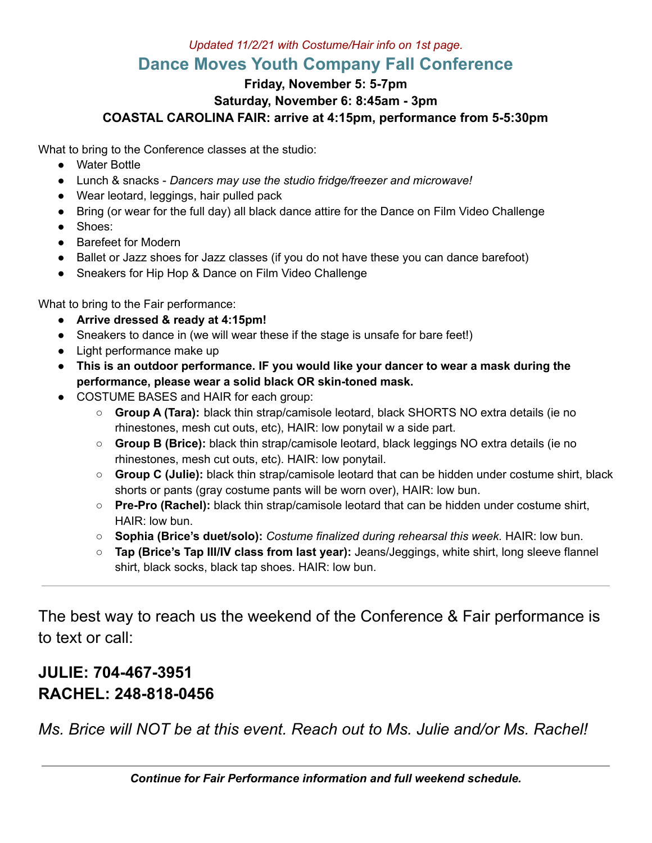## *Updated 11/2/21 with Costume/Hair info on 1st page.* **Dance Moves Youth Company Fall Conference**

### **Friday, November 5: 5-7pm Saturday, November 6: 8:45am - 3pm COASTAL CAROLINA FAIR: arrive at 4:15pm, performance from 5-5:30pm**

What to bring to the Conference classes at the studio:

- Water Bottle
- Lunch & snacks *Dancers may use the studio fridge/freezer and microwave!*
- Wear leotard, leggings, hair pulled pack
- Bring (or wear for the full day) all black dance attire for the Dance on Film Video Challenge
- Shoes:
- Barefeet for Modern
- Ballet or Jazz shoes for Jazz classes (if you do not have these you can dance barefoot)
- Sneakers for Hip Hop & Dance on Film Video Challenge

What to bring to the Fair performance:

- **● Arrive dressed & ready at 4:15pm!**
- Sneakers to dance in (we will wear these if the stage is unsafe for bare feet!)
- Light performance make up
- **● This is an outdoor performance. IF you would like your dancer to wear a mask during the performance, please wear a solid black OR skin-toned mask.**
- COSTUME BASES and HAIR for each group:
	- **Group A (Tara):** black thin strap/camisole leotard, black SHORTS NO extra details (ie no rhinestones, mesh cut outs, etc), HAIR: low ponytail w a side part.
	- **Group B (Brice):** black thin strap/camisole leotard, black leggings NO extra details (ie no rhinestones, mesh cut outs, etc). HAIR: low ponytail.
	- **Group C (Julie):** black thin strap/camisole leotard that can be hidden under costume shirt, black shorts or pants (gray costume pants will be worn over), HAIR: low bun.
	- **Pre-Pro (Rachel):** black thin strap/camisole leotard that can be hidden under costume shirt, HAIR: low bun.
	- **○ Sophia (Brice's duet/solo):** *Costume finalized during rehearsal this week.* HAIR: low bun.
	- **○ Tap (Brice's Tap III/IV class from last year):** Jeans/Jeggings, white shirt, long sleeve flannel shirt, black socks, black tap shoes. HAIR: low bun.

The best way to reach us the weekend of the Conference & Fair performance is to text or call:

# **JULIE: 704-467-3951 RACHEL: 248-818-0456**

*Ms. Brice will NOT be at this event. Reach out to Ms. Julie and/or Ms. Rachel!*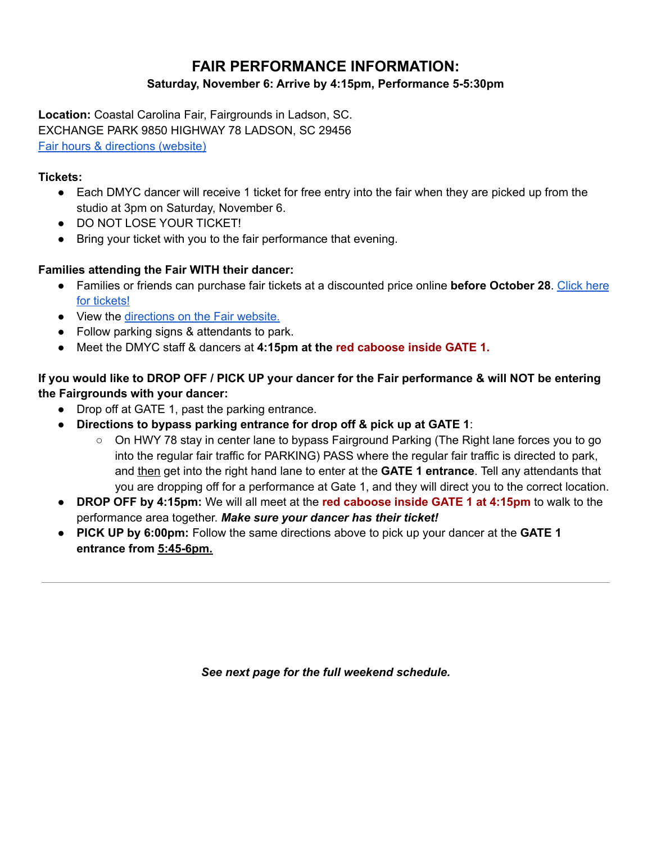## **FAIR PERFORMANCE INFORMATION:**

### **Saturday, November 6: Arrive by 4:15pm, Performance 5-5:30pm**

**Location:** Coastal Carolina Fair, Fairgrounds in Ladson, SC. EXCHANGE PARK 9850 HIGHWAY 78 LADSON, SC 29456 Fair hours & [directions](https://www.coastalcarolinafair.org/directions.aspx) (website)

### **Tickets:**

- Each DMYC dancer will receive 1 ticket for free entry into the fair when they are picked up from the studio at 3pm on Saturday, November 6.
- **DO NOT LOSE YOUR TICKET!**
- Bring your ticket with you to the fair performance that evening.

## **Families attending the Fair WITH their dancer:**

- Families or friends can purchase fair tickets at a discounted price online **before October 28**. [Click](https://www.coastalcarolinafair.org/p/tickets--deals) here for [tickets!](https://www.coastalcarolinafair.org/p/tickets--deals)
- View the [directions](https://www.coastalcarolinafair.org/directions.aspx) on the Fair website.
- Follow parking signs & attendants to park.
- Meet the DMYC staff & dancers at **4:15pm at the red caboose inside GATE 1.**

If you would like to DROP OFF / PICK UP your dancer for the Fair performance & will NOT be entering **the Fairgrounds with your dancer:**

- Drop off at GATE 1, past the parking entrance.
- **Directions to bypass parking entrance for drop off & pick up at GATE 1**:
	- On HWY 78 stay in center lane to bypass Fairground Parking (The Right lane forces you to go into the regular fair traffic for PARKING) PASS where the regular fair traffic is directed to park, and then get into the right hand lane to enter at the **GATE 1 entrance**. Tell any attendants that you are dropping off for a performance at Gate 1, and they will direct you to the correct location.
- **DROP OFF by 4:15pm:** We will all meet at the **red caboose inside GATE 1 at 4:15pm** to walk to the performance area together. *Make sure your dancer has their ticket!*
- **PICK UP by 6:00pm:** Follow the same directions above to pick up your dancer at the **GATE 1 entrance from 5:45-6pm.**

*See next page for the full weekend schedule.*